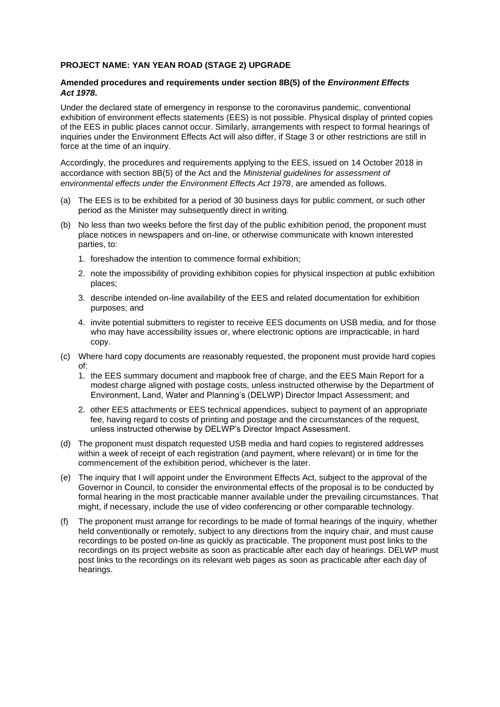## **PROJECT NAME: YAN YEAN ROAD (STAGE 2) UPGRADE**

## **Amended procedures and requirements under section 8B(5) of the** *Environment Effects Act 1978***.**

Under the declared state of emergency in response to the coronavirus pandemic, conventional exhibition of environment effects statements (EES) is not possible. Physical display of printed copies of the EES in public places cannot occur. Similarly, arrangements with respect to formal hearings of inquiries under the Environment Effects Act will also differ, if Stage 3 or other restrictions are still in force at the time of an inquiry.

Accordingly, the procedures and requirements applying to the EES, issued on 14 October 2018 in accordance with section 8B(5) of the Act and the *Ministerial guidelines for assessment of environmental effects under the Environment Effects Act 1978*, are amended as follows.

- (a) The EES is to be exhibited for a period of 30 business days for public comment, or such other period as the Minister may subsequently direct in writing.
- (b) No less than two weeks before the first day of the public exhibition period, the proponent must place notices in newspapers and on-line, or otherwise communicate with known interested parties, to:
	- 1. foreshadow the intention to commence formal exhibition;
	- 2. note the impossibility of providing exhibition copies for physical inspection at public exhibition places;
	- 3. describe intended on-line availability of the EES and related documentation for exhibition purposes; and
	- 4. invite potential submitters to register to receive EES documents on USB media, and for those who may have accessibility issues or, where electronic options are impracticable, in hard copy.
- (c) Where hard copy documents are reasonably requested, the proponent must provide hard copies of:
	- 1. the EES summary document and mapbook free of charge, and the EES Main Report for a modest charge aligned with postage costs, unless instructed otherwise by the Department of Environment, Land, Water and Planning's (DELWP) Director Impact Assessment; and
	- 2. other EES attachments or EES technical appendices, subject to payment of an appropriate fee, having regard to costs of printing and postage and the circumstances of the request, unless instructed otherwise by DELWP's Director Impact Assessment.
- (d) The proponent must dispatch requested USB media and hard copies to registered addresses within a week of receipt of each registration (and payment, where relevant) or in time for the commencement of the exhibition period, whichever is the later.
- (e) The inquiry that I will appoint under the Environment Effects Act, subject to the approval of the Governor in Council, to consider the environmental effects of the proposal is to be conducted by formal hearing in the most practicable manner available under the prevailing circumstances. That might, if necessary, include the use of video conferencing or other comparable technology.
- (f) The proponent must arrange for recordings to be made of formal hearings of the inquiry, whether held conventionally or remotely, subject to any directions from the inquiry chair, and must cause recordings to be posted on-line as quickly as practicable. The proponent must post links to the recordings on its project website as soon as practicable after each day of hearings. DELWP must post links to the recordings on its relevant web pages as soon as practicable after each day of hearings.